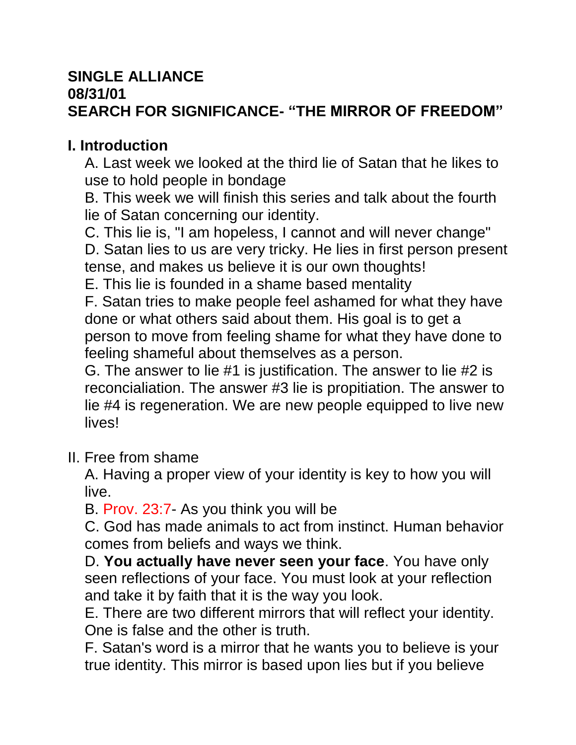### **SINGLE ALLIANCE**

### **08/31/01**

# **SEARCH FOR SIGNIFICANCE- "THE MIRROR OF FREEDOM"**

### **I. Introduction**

A. Last week we looked at the third lie of Satan that he likes to use to hold people in bondage

B. This week we will finish this series and talk about the fourth lie of Satan concerning our identity.

C. This lie is, "I am hopeless, I cannot and will never change" D. Satan lies to us are very tricky. He lies in first person present tense, and makes us believe it is our own thoughts!

E. This lie is founded in a shame based mentality

F. Satan tries to make people feel ashamed for what they have done or what others said about them. His goal is to get a person to move from feeling shame for what they have done to feeling shameful about themselves as a person.

G. The answer to lie #1 is justification. The answer to lie #2 is reconcialiation. The answer #3 lie is propitiation. The answer to lie #4 is regeneration. We are new people equipped to live new lives!

#### II. Free from shame

A. Having a proper view of your identity is key to how you will live.

B. Prov. 23:7- As you think you will be

C. God has made animals to act from instinct. Human behavior comes from beliefs and ways we think.

D. **You actually have never seen your face**. You have only seen reflections of your face. You must look at your reflection and take it by faith that it is the way you look.

E. There are two different mirrors that will reflect your identity. One is false and the other is truth.

F. Satan's word is a mirror that he wants you to believe is your true identity. This mirror is based upon lies but if you believe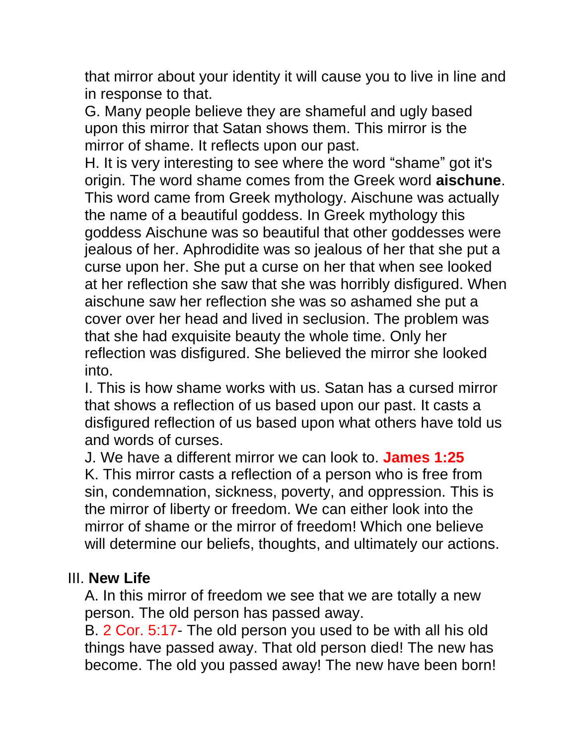that mirror about your identity it will cause you to live in line and in response to that.

G. Many people believe they are shameful and ugly based upon this mirror that Satan shows them. This mirror is the mirror of shame. It reflects upon our past.

H. It is very interesting to see where the word "shame" got it's origin. The word shame comes from the Greek word **aischune**. This word came from Greek mythology. Aischune was actually the name of a beautiful goddess. In Greek mythology this goddess Aischune was so beautiful that other goddesses were jealous of her. Aphrodidite was so jealous of her that she put a curse upon her. She put a curse on her that when see looked at her reflection she saw that she was horribly disfigured. When aischune saw her reflection she was so ashamed she put a cover over her head and lived in seclusion. The problem was that she had exquisite beauty the whole time. Only her reflection was disfigured. She believed the mirror she looked into.

I. This is how shame works with us. Satan has a cursed mirror that shows a reflection of us based upon our past. It casts a disfigured reflection of us based upon what others have told us and words of curses.

J. We have a different mirror we can look to. **James 1:25** K. This mirror casts a reflection of a person who is free from sin, condemnation, sickness, poverty, and oppression. This is the mirror of liberty or freedom. We can either look into the mirror of shame or the mirror of freedom! Which one believe will determine our beliefs, thoughts, and ultimately our actions.

#### III. **New Life**

A. In this mirror of freedom we see that we are totally a new person. The old person has passed away.

B. 2 Cor. 5:17- The old person you used to be with all his old things have passed away. That old person died! The new has become. The old you passed away! The new have been born!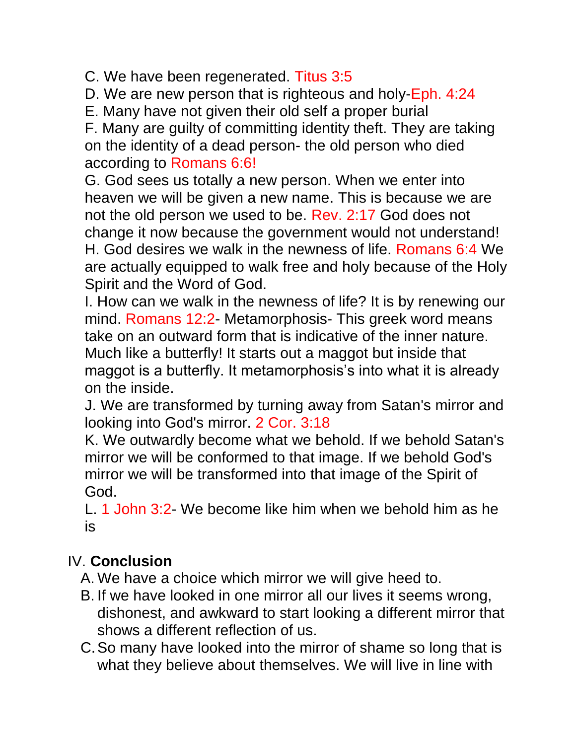C. We have been regenerated. Titus 3:5

D. We are new person that is righteous and holy-Eph. 4:24

E. Many have not given their old self a proper burial

F. Many are guilty of committing identity theft. They are taking on the identity of a dead person- the old person who died according to Romans 6:6!

G. God sees us totally a new person. When we enter into heaven we will be given a new name. This is because we are not the old person we used to be. Rev. 2:17 God does not change it now because the government would not understand! H. God desires we walk in the newness of life. Romans 6:4 We are actually equipped to walk free and holy because of the Holy Spirit and the Word of God.

I. How can we walk in the newness of life? It is by renewing our mind. Romans 12:2- Metamorphosis- This greek word means take on an outward form that is indicative of the inner nature. Much like a butterfly! It starts out a maggot but inside that maggot is a butterfly. It metamorphosis's into what it is already on the inside.

J. We are transformed by turning away from Satan's mirror and looking into God's mirror. 2 Cor. 3:18

K. We outwardly become what we behold. If we behold Satan's mirror we will be conformed to that image. If we behold God's mirror we will be transformed into that image of the Spirit of God.

L. 1 John 3:2- We become like him when we behold him as he is

## IV. **Conclusion**

A. We have a choice which mirror we will give heed to.

- B. If we have looked in one mirror all our lives it seems wrong, dishonest, and awkward to start looking a different mirror that shows a different reflection of us.
- C.So many have looked into the mirror of shame so long that is what they believe about themselves. We will live in line with